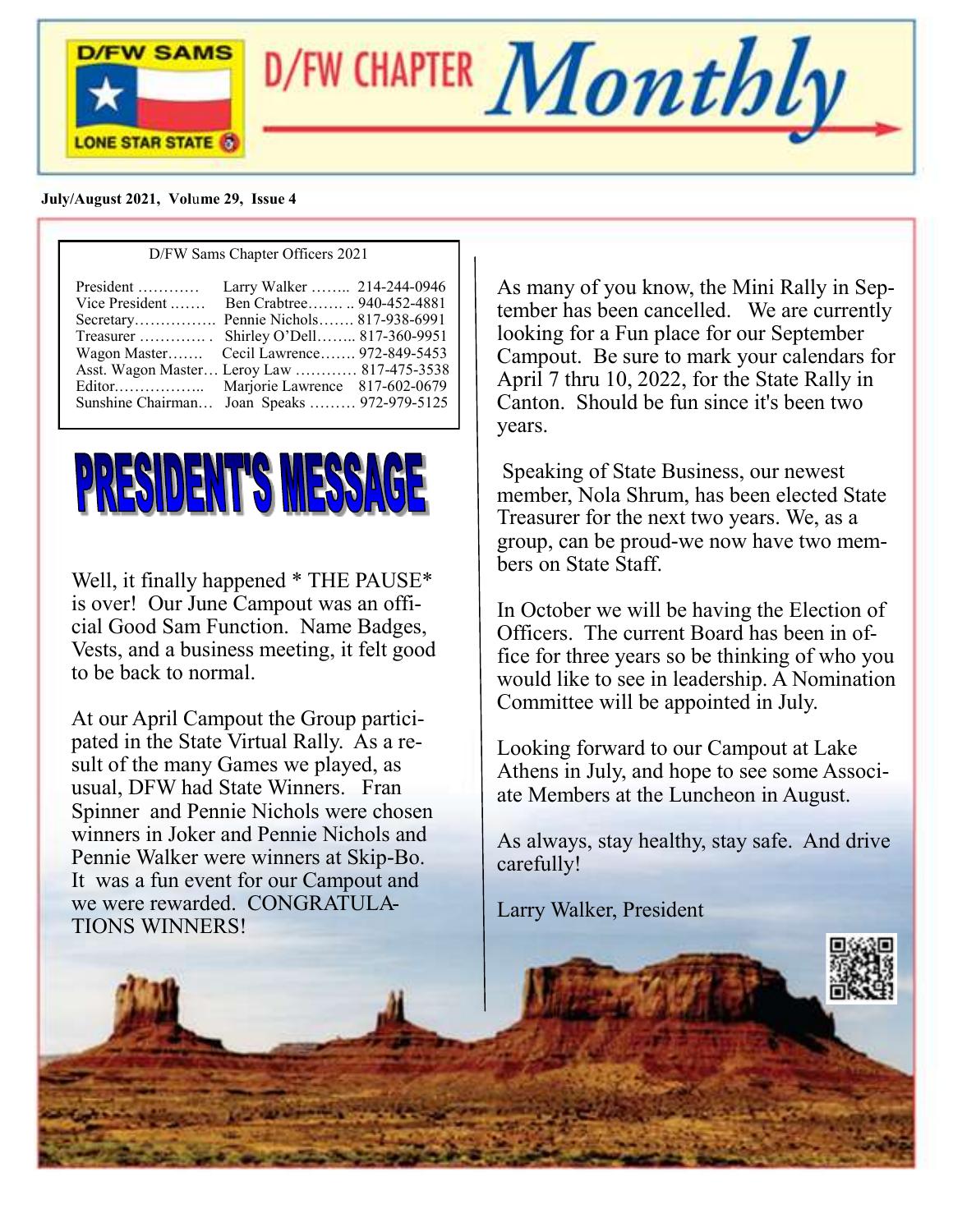

D/FW CHAPTER  $\boldsymbol{Monthly}$ 

 **July/August 2021, Vol**u**me 29, Issue 4**

| D/FW Sams Chapter Officers 2021                                                                                                                                                                                                                                                                                           |  |  |
|---------------------------------------------------------------------------------------------------------------------------------------------------------------------------------------------------------------------------------------------------------------------------------------------------------------------------|--|--|
| Ben Crabtree  940-452-4881<br>Vice President $\dots$<br>Secretary Pennie Nichols 817-938-6991<br>Treasurer  Shirley O'Dell 817-360-9951<br>Wagon Master Cecil Lawrence 972-849-5453<br>Asst. Wagon Master Leroy Law  817-475-3538<br>Editor Marjorie Lawrence 817-602-0679<br>Sunshine Chairman Joan Speaks  972-979-5125 |  |  |
|                                                                                                                                                                                                                                                                                                                           |  |  |



Well, it finally happened \* THE PAUSE\* is over! Our June Campout was an official Good Sam Function. Name Badges, Vests, and a business meeting, it felt good to be back to normal.

At our April Campout the Group participated in the State Virtual Rally. As a result of the many Games we played, as usual, DFW had State Winners. Fran Spinner and Pennie Nichols were chosen winners in Joker and Pennie Nichols and Pennie Walker were winners at Skip-Bo. It was a fun event for our Campout and we were rewarded. CONGRATULA-TIONS WINNERS!

As many of you know, the Mini Rally in September has been cancelled. We are currently looking for a Fun place for our September Campout. Be sure to mark your calendars for April 7 thru 10, 2022, for the State Rally in Canton. Should be fun since it's been two years.

Speaking of State Business, our newest member, Nola Shrum, has been elected State Treasurer for the next two years. We, as a group, can be proud-we now have two members on State Staff.

In October we will be having the Election of Officers. The current Board has been in office for three years so be thinking of who you would like to see in leadership. A Nomination Committee will be appointed in July.

Looking forward to our Campout at Lake Athens in July, and hope to see some Associate Members at the Luncheon in August.

As always, stay healthy, stay safe. And drive carefully!

Larry Walker, President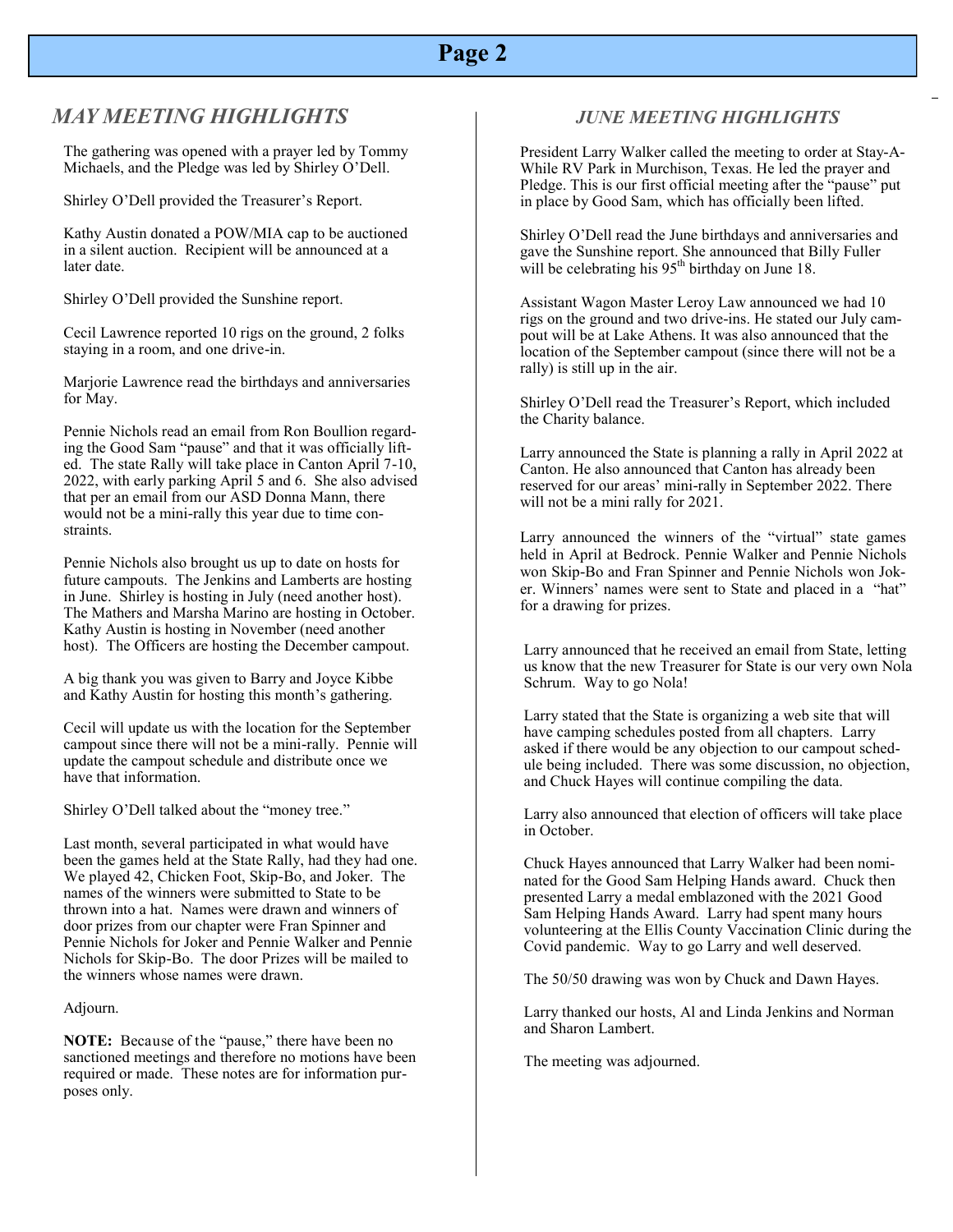# **Page 2**

#### *MAY MEETING HIGHLIGHTS*

The gathering was opened with a prayer led by Tommy Michaels, and the Pledge was led by Shirley O'Dell.

Shirley O'Dell provided the Treasurer's Report.

Kathy Austin donated a POW/MIA cap to be auctioned in a silent auction. Recipient will be announced at a later date.

Shirley O'Dell provided the Sunshine report.

Cecil Lawrence reported 10 rigs on the ground, 2 folks staying in a room, and one drive-in.

Marjorie Lawrence read the birthdays and anniversaries for May.

Pennie Nichols read an email from Ron Boullion regarding the Good Sam "pause" and that it was officially lifted. The state Rally will take place in Canton April 7-10, 2022, with early parking April 5 and 6. She also advised that per an email from our ASD Donna Mann, there would not be a mini-rally this year due to time constraints.

Pennie Nichols also brought us up to date on hosts for future campouts. The Jenkins and Lamberts are hosting in June. Shirley is hosting in July (need another host). The Mathers and Marsha Marino are hosting in October. Kathy Austin is hosting in November (need another host). The Officers are hosting the December campout.

A big thank you was given to Barry and Joyce Kibbe and Kathy Austin for hosting this month's gathering.

Cecil will update us with the location for the September campout since there will not be a mini-rally. Pennie will update the campout schedule and distribute once we have that information.

Shirley O'Dell talked about the "money tree."

Last month, several participated in what would have been the games held at the State Rally, had they had one. We played 42, Chicken Foot, Skip-Bo, and Joker. The names of the winners were submitted to State to be thrown into a hat. Names were drawn and winners of door prizes from our chapter were Fran Spinner and Pennie Nichols for Joker and Pennie Walker and Pennie Nichols for Skip-Bo. The door Prizes will be mailed to the winners whose names were drawn.

Adjourn.

**NOTE:** Because of the "pause," there have been no sanctioned meetings and therefore no motions have been required or made. These notes are for information purposes only.

#### *JUNE MEETING HIGHLIGHTS*

President Larry Walker called the meeting to order at Stay-A-While RV Park in Murchison, Texas. He led the prayer and Pledge. This is our first official meeting after the "pause" put in place by Good Sam, which has officially been lifted.

Shirley O'Dell read the June birthdays and anniversaries and gave the Sunshine report. She announced that Billy Fuller will be celebrating his  $95<sup>th</sup>$  birthday on June 18.

Assistant Wagon Master Leroy Law announced we had 10 rigs on the ground and two drive-ins. He stated our July campout will be at Lake Athens. It was also announced that the location of the September campout (since there will not be a rally) is still up in the air.

Shirley O'Dell read the Treasurer's Report, which included the Charity balance.

Larry announced the State is planning a rally in April 2022 at Canton. He also announced that Canton has already been reserved for our areas' mini-rally in September 2022. There will not be a mini rally for 2021.

Larry announced the winners of the "virtual" state games held in April at Bedrock. Pennie Walker and Pennie Nichols won Skip-Bo and Fran Spinner and Pennie Nichols won Joker. Winners' names were sent to State and placed in a "hat" for a drawing for prizes.

Larry announced that he received an email from State, letting us know that the new Treasurer for State is our very own Nola Schrum. Way to go Nola!

Larry stated that the State is organizing a web site that will have camping schedules posted from all chapters. Larry asked if there would be any objection to our campout schedule being included. There was some discussion, no objection, and Chuck Hayes will continue compiling the data.

Larry also announced that election of officers will take place in October.

Chuck Hayes announced that Larry Walker had been nominated for the Good Sam Helping Hands award. Chuck then presented Larry a medal emblazoned with the 2021 Good Sam Helping Hands Award. Larry had spent many hours volunteering at the Ellis County Vaccination Clinic during the Covid pandemic. Way to go Larry and well deserved.

The 50/50 drawing was won by Chuck and Dawn Hayes.

Larry thanked our hosts, Al and Linda Jenkins and Norman and Sharon Lambert.

The meeting was adjourned.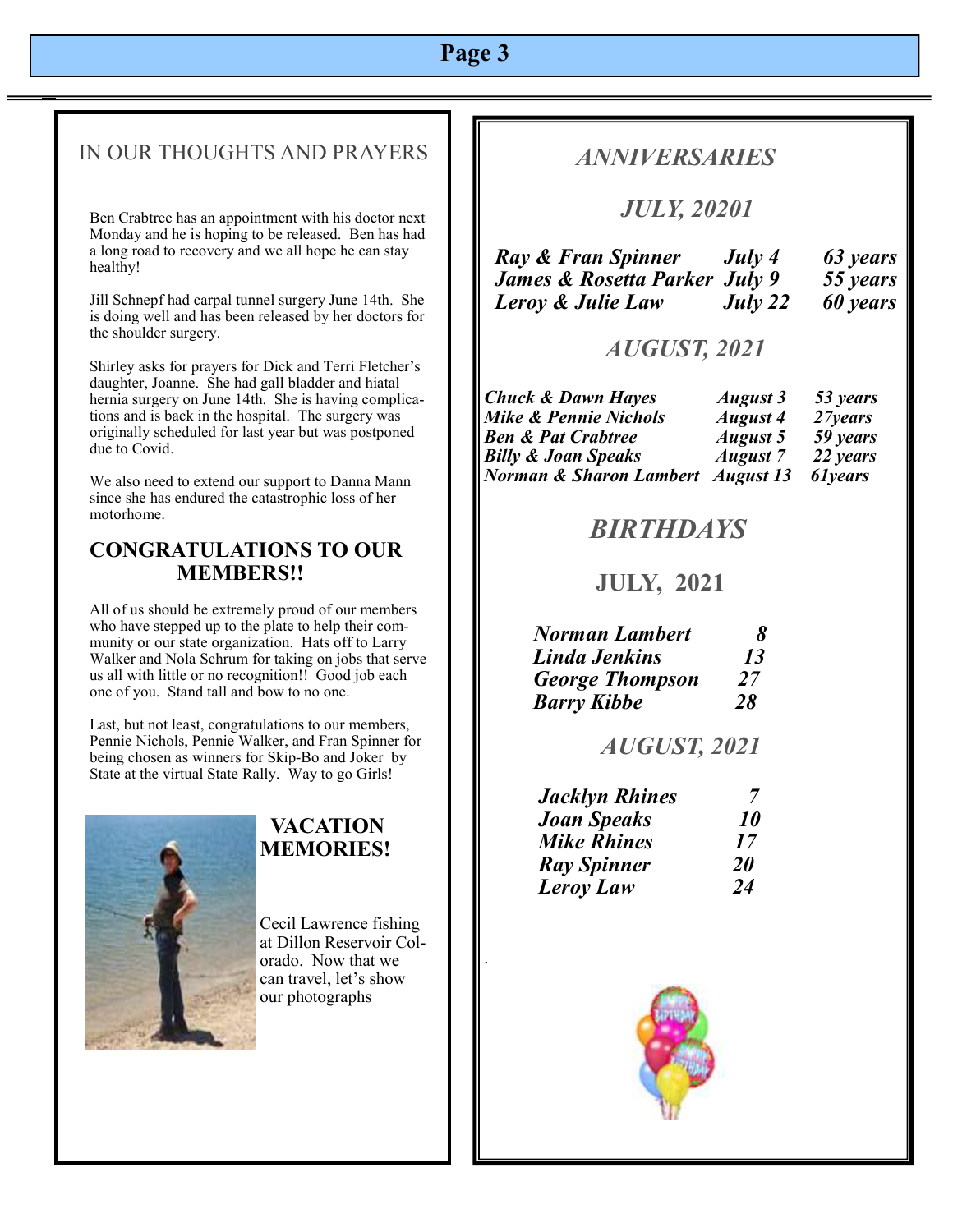# **Page 3**

#### IN OUR THOUGHTS AND PRAYERS

Ben Crabtree has an appointment with his doctor next Monday and he is hoping to be released. Ben has had a long road to recovery and we all hope he can stay healthy!

Jill Schnepf had carpal tunnel surgery June 14th. She is doing well and has been released by her doctors for the shoulder surgery.

Shirley asks for prayers for Dick and Terri Fletcher's daughter, Joanne. She had gall bladder and hiatal hernia surgery on June 14th. She is having complications and is back in the hospital. The surgery was originally scheduled for last year but was postponed due to Covid.

We also need to extend our support to Danna Mann since she has endured the catastrophic loss of her motorhome.

#### **CONGRATULATIONS TO OUR MEMBERS!!**

All of us should be extremely proud of our members who have stepped up to the plate to help their community or our state organization. Hats off to Larry Walker and Nola Schrum for taking on jobs that serve us all with little or no recognition!! Good job each one of you. Stand tall and bow to no one.

Last, but not least, congratulations to our members, Pennie Nichols, Pennie Walker, and Fran Spinner for being chosen as winners for Skip-Bo and Joker by State at the virtual State Rally. Way to go Girls!



#### **VACATION MEMORIES!**

Cecil Lawrence fishing at Dillon Reservoir Colorado. Now that we can travel, let's show our photographs

.

## *ANNIVERSARIES*

## *JULY, 20201*

| Ray & Fran Spinner            | July 4  | 63 years |
|-------------------------------|---------|----------|
| James & Rosetta Parker July 9 |         | 55 years |
| Leroy & Julie Law             | July 22 | 60 years |

## *AUGUST, 2021*

| <b>Chuck &amp; Dawn Hayes</b>     | August 3        | 53 years |
|-----------------------------------|-----------------|----------|
| Mike & Pennie Nichols             | <b>August 4</b> | 27 years |
| <b>Ben &amp; Pat Crabtree</b>     | <b>August 5</b> | 59 years |
| <b>Billy &amp; Joan Speaks</b>    | <b>August</b> 7 | 22 years |
| Norman & Sharon Lambert August 13 |                 | 61 years |

## *BIRTHDAYS*

## **JULY, 2021**

| <b>Norman Lambert</b>  | X. |
|------------------------|----|
| <b>Linda Jenkins</b>   | 13 |
| <b>George Thompson</b> | 27 |
| <b>Barry Kibbe</b>     | 28 |

#### *AUGUST, 2021*

| <b>Jacklyn Rhines</b> |                  |
|-----------------------|------------------|
| <b>Joan Speaks</b>    | <i><b>10</b></i> |
| <b>Mike Rhines</b>    | 17               |
| <b>Ray Spinner</b>    | <b>20</b>        |
| <b>Leroy Law</b>      | 24               |